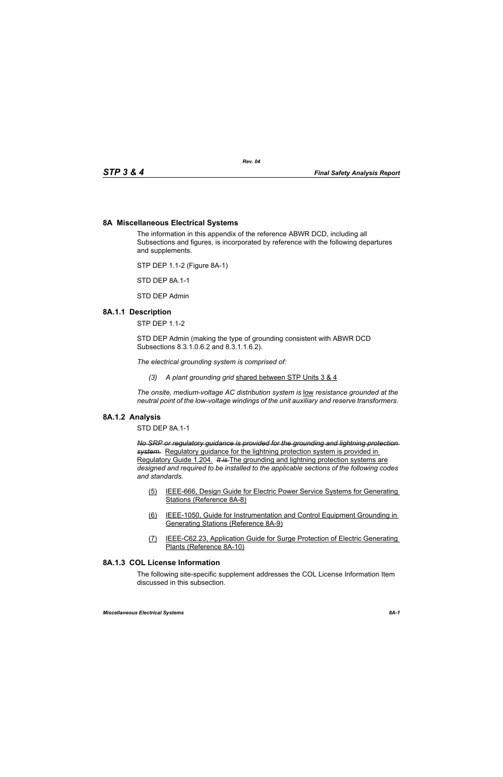## **8A Miscellaneous Electrical Systems**

The information in this appendix of the reference ABWR DCD, including all Subsections and figures, is incorporated by reference with the following departures and supplements.

STP DEP 1.1-2 (Figure 8A-1)

STD DEP 8A.1-1

STD DEP Admin

### **8A.1.1 Description**

STP DEP 1.1-2

STD DEP Admin (making the type of grounding consistent with ABWR DCD Subsections 8.3.1.0.6.2 and 8.3.1.1.6.2).

*The electrical grounding system is comprised of:*

*(3) A plant grounding grid* shared between STP Units 3 & 4

*The onsite, medium-voltage AC distribution system is* low *resistance grounded at the neutral point of the low-voltage windings of the unit auxiliary and reserve transformers.* 

#### **8A.1.2 Analysis**

STD DEP 8A.1-1

*No SRP or regulatory guidance is provided for the grounding and lightning protection system.* Regulatory guidance for the lightning protection system is provided in Regulatory Guide 1.204. *It is* The grounding and lightning protection systems are *designed and required to be installed to the applicable sections of the following codes and standards.*

- (5) IEEE-666, Design Guide for Electric Power Service Systems for Generating Stations (Reference 8A-8)
- (6) IEEE-1050, Guide for Instrumentation and Control Equipment Grounding in Generating Stations (Reference 8A-9)
- (7) IEEE-C62.23, Application Guide for Surge Protection of Electric Generating Plants (Reference 8A-10)

# **8A.1.3 COL License Information**

The following site-specific supplement addresses the COL License Information Item discussed in this subsection.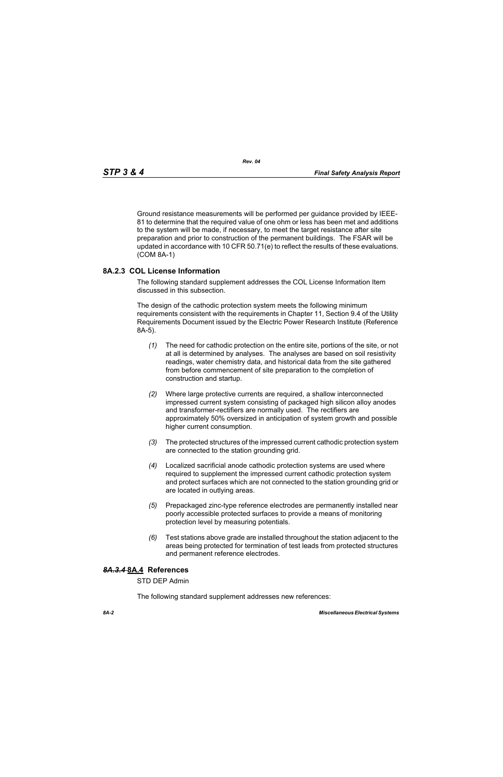Ground resistance measurements will be performed per guidance provided by IEEE-81 to determine that the required value of one ohm or less has been met and additions to the system will be made, if necessary, to meet the target resistance after site preparation and prior to construction of the permanent buildings. The FSAR will be updated in accordance with 10 CFR 50.71(e) to reflect the results of these evaluations. (COM 8A-1)

### **8A.2.3 COL License Information**

The following standard supplement addresses the COL License Information Item discussed in this subsection.

The design of the cathodic protection system meets the following minimum requirements consistent with the requirements in Chapter 11, Section 9.4 of the Utility Requirements Document issued by the Electric Power Research Institute (Reference 8A-5).

- *(1)* The need for cathodic protection on the entire site, portions of the site, or not at all is determined by analyses. The analyses are based on soil resistivity readings, water chemistry data, and historical data from the site gathered from before commencement of site preparation to the completion of construction and startup.
- *(2)* Where large protective currents are required, a shallow interconnected impressed current system consisting of packaged high silicon alloy anodes and transformer-rectifiers are normally used. The rectifiers are approximately 50% oversized in anticipation of system growth and possible higher current consumption.
- *(3)* The protected structures of the impressed current cathodic protection system are connected to the station grounding grid.
- *(4)* Localized sacrificial anode cathodic protection systems are used where required to supplement the impressed current cathodic protection system and protect surfaces which are not connected to the station grounding grid or are located in outlying areas.
- *(5)* Prepackaged zinc-type reference electrodes are permanently installed near poorly accessible protected surfaces to provide a means of monitoring protection level by measuring potentials.
- *(6)* Test stations above grade are installed throughout the station adjacent to the areas being protected for termination of test leads from protected structures and permanent reference electrodes.

### *8A.3.4* **8A.4 References**

STD DEP Admin

The following standard supplement addresses new references: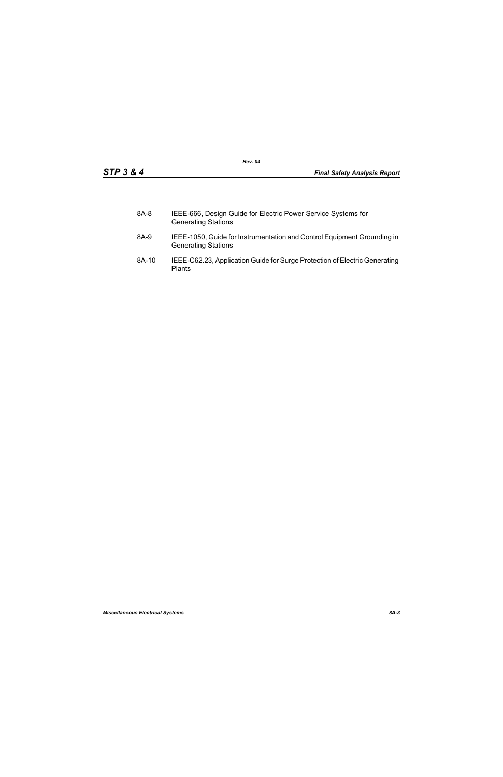| 8A-8 | IEEE-666, Design Guide for Electric Power Service Systems for |
|------|---------------------------------------------------------------|
|      | <b>Generating Stations</b>                                    |

- 8A-9 IEEE-1050, Guide for Instrumentation and Control Equipment Grounding in Generating Stations
- 8A-10 IEEE-C62.23, Application Guide for Surge Protection of Electric Generating Plants